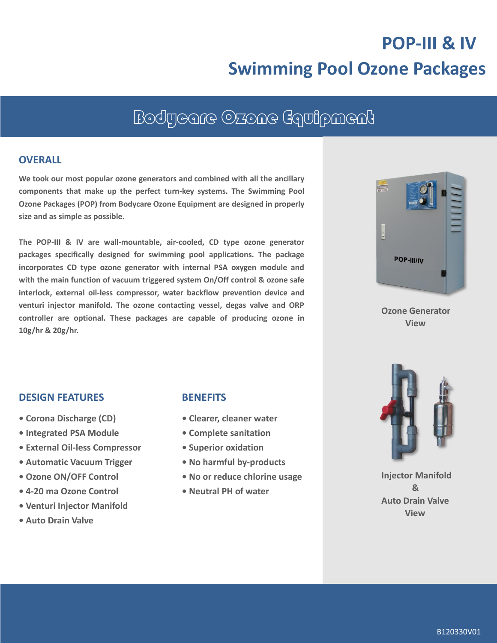# **POP-III & IV Swimming Pool Ozone Packages**

## Bodycare Ozone Equipment

#### **OVERALL**

**We took our most popular ozone generators and combined with all the ancillary components that make up the perfect turn-key systems. The Swimming Pool Ozone Packages (POP) from Bodycare Ozone Equipment are designed in properly size and as simple as possible.**

**The POP-III & IV are wall-mountable, air-cooled, CD type ozone generator packages specifically designed for swimming pool applications. The package incorporates CD type ozone generator with internal PSA oxygen module and with the main function of vacuum triggered system On/Off control & ozone safe interlock, external oil-less compressor, water backflow prevention device and venturi injector manifold. The ozone contacting vessel, degas valve and ORP controller are optional. These packages are capable of producing ozone in 10g/hr & 20g/hr.**



**Ozone Generator View**

#### **DESIGN FEATURES**

- **Corona Discharge (CD)**
- **Integrated PSA Module**
- **• External Oil-less Compressor**
- **Automatic Vacuum Trigger**
- **Ozone ON/OFF Control**
- **• 4-20 ma Ozone Control**
- **• Venturi Injector Manifold**
- **• Auto Drain Valve**

#### **BENEFITS**

- **Clearer, cleaner water**
- **Complete sanitation**
- **Superior oxidation**
- **• No harmful by-products**
- **• No or reduce chlorine usage**
- **Neutral PH of water**



**Injector Manifold & Auto Drain Valve View**